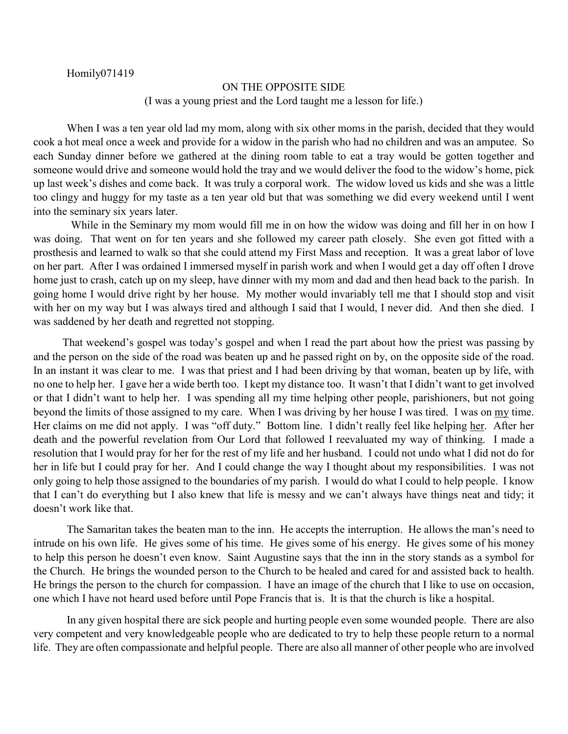Homily071419

## ON THE OPPOSITE SIDE

(I was a young priest and the Lord taught me a lesson for life.)

When I was a ten year old lad my mom, along with six other moms in the parish, decided that they would cook a hot meal once a week and provide for a widow in the parish who had no children and was an amputee. So each Sunday dinner before we gathered at the dining room table to eat a tray would be gotten together and someone would drive and someone would hold the tray and we would deliver the food to the widow's home, pick up last week's dishes and come back. It was truly a corporal work. The widow loved us kids and she was a little too clingy and huggy for my taste as a ten year old but that was something we did every weekend until I went into the seminary six years later.

While in the Seminary my mom would fill me in on how the widow was doing and fill her in on how I was doing. That went on for ten years and she followed my career path closely. She even got fitted with a prosthesis and learned to walk so that she could attend my First Mass and reception. It was a great labor of love on her part. After I was ordained I immersed myself in parish work and when I would get a day off often I drove home just to crash, catch up on my sleep, have dinner with my mom and dad and then head back to the parish. In going home I would drive right by her house. My mother would invariably tell me that I should stop and visit with her on my way but I was always tired and although I said that I would, I never did. And then she died. I was saddened by her death and regretted not stopping.

That weekend's gospel was today's gospel and when I read the part about how the priest was passing by and the person on the side of the road was beaten up and he passed right on by, on the opposite side of the road. In an instant it was clear to me. I was that priest and I had been driving by that woman, beaten up by life, with no one to help her. I gave her a wide berth too. I kept my distance too. It wasn't that I didn't want to get involved or that I didn't want to help her. I was spending all my time helping other people, parishioners, but not going beyond the limits of those assigned to my care. When I was driving by her house I was tired. I was on my time. Her claims on me did not apply. I was "off duty." Bottom line. I didn't really feel like helping her. After her death and the powerful revelation from Our Lord that followed I reevaluated my way of thinking. I made a resolution that I would pray for her for the rest of my life and her husband. I could not undo what I did not do for her in life but I could pray for her. And I could change the way I thought about my responsibilities. I was not only going to help those assigned to the boundaries of my parish. I would do what I could to help people. I know that I can't do everything but I also knew that life is messy and we can't always have things neat and tidy; it doesn't work like that.

The Samaritan takes the beaten man to the inn. He accepts the interruption. He allows the man's need to intrude on his own life. He gives some of his time. He gives some of his energy. He gives some of his money to help this person he doesn't even know. Saint Augustine says that the inn in the story stands as a symbol for the Church. He brings the wounded person to the Church to be healed and cared for and assisted back to health. He brings the person to the church for compassion. I have an image of the church that I like to use on occasion, one which I have not heard used before until Pope Francis that is. It is that the church is like a hospital.

In any given hospital there are sick people and hurting people even some wounded people. There are also very competent and very knowledgeable people who are dedicated to try to help these people return to a normal life. They are often compassionate and helpful people. There are also all manner of other people who are involved